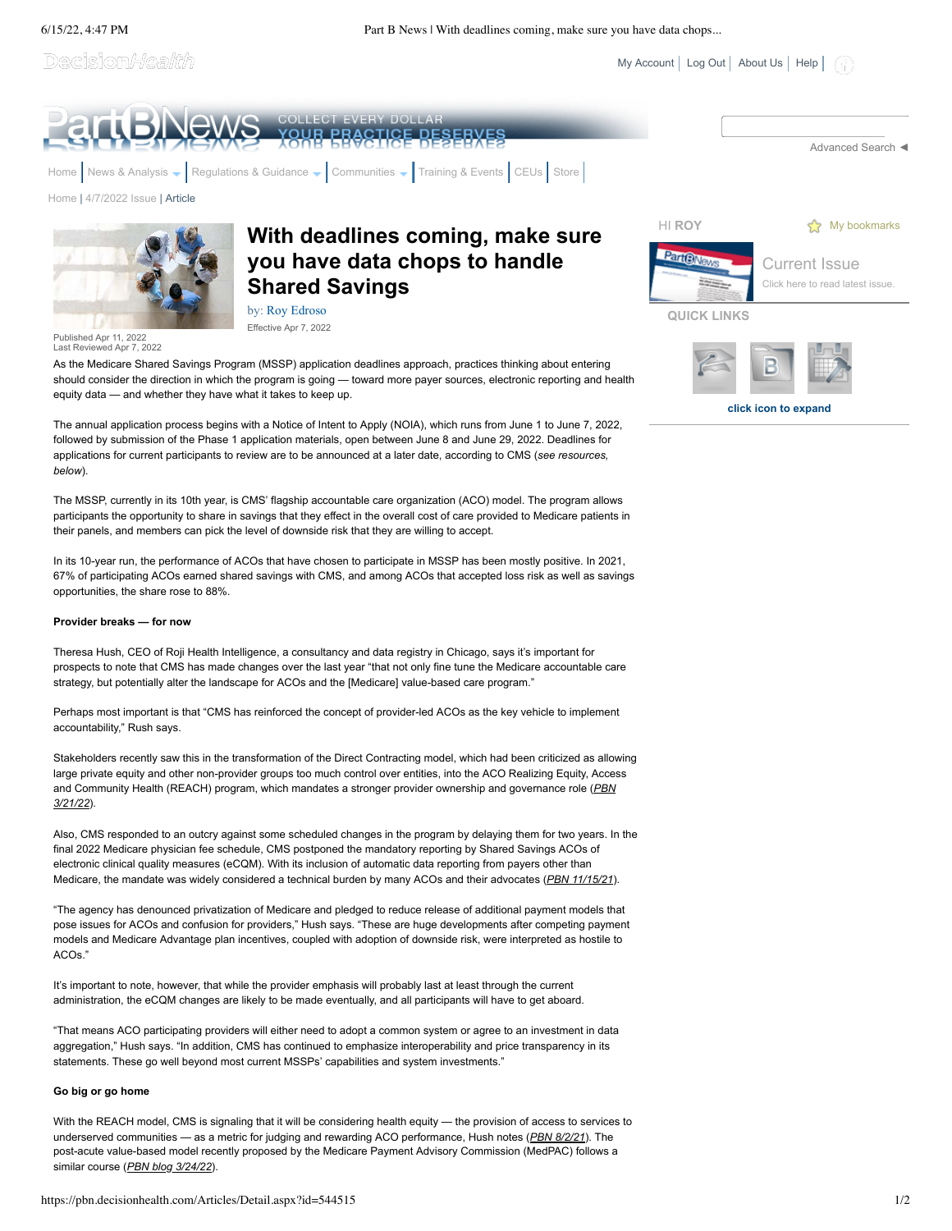6/15/22, 4:47 PM Part B News | With deadlines coming, make sure you have data chops...

 $My Account$  [Log Out](javascript:__doPostBack() | [About Us](https://pbn.decisionhealth.com/About/Default.aspx) | [Help](https://pbn.decisionhealth.com/About/Help.aspx) |

**click icon to expand**

Decision/*Health* 



As the Medicare Shared Savings Program (MSSP) application deadlines approach, practices thinking about entering should consider the direction in which the program is going — toward more payer sources, electronic reporting and health equity data — and whether they have what it takes to keep up.

The annual application process begins with a Notice of Intent to Apply (NOIA), which runs from June 1 to June 7, 2022, followed by submission of the Phase 1 application materials, open between June 8 and June 29, 2022. Deadlines for applications for current participants to review are to be announced at a later date, according to CMS (*see resources, below*).

The MSSP, currently in its 10th year, is CMS' flagship accountable care organization (ACO) model. The program allows participants the opportunity to share in savings that they effect in the overall cost of care provided to Medicare patients in their panels, and members can pick the level of downside risk that they are willing to accept.

In its 10-year run, the performance of ACOs that have chosen to participate in MSSP has been mostly positive. In 2021, 67% of participating ACOs earned shared savings with CMS, and among ACOs that accepted loss risk as well as savings opportunities, the share rose to 88%.

## **Provider breaks — for now**

Theresa Hush, CEO of Roji Health Intelligence, a consultancy and data registry in Chicago, says it's important for prospects to note that CMS has made changes over the last year "that not only fine tune the Medicare accountable care strategy, but potentially alter the landscape for ACOs and the [Medicare] value-based care program."

Perhaps most important is that "CMS has reinforced the concept of provider-led ACOs as the key vehicle to implement accountability," Rush says.

Stakeholders recently saw this in the transformation of the Direct Contracting model, which had been criticized as allowing large private equity and other non-provider groups too much control over entities, into the ACO Realizing Equity, Access and Community Health (REACH) program, which mandates a stronger provider ownership and governance role (*PBN 3/21/22*).

Also, CMS responded to an outcry against some scheduled changes in the program by delaying them for two years. In the final 2022 Medicare physician fee schedule, CMS postponed the mandatory reporting by Shared Savings ACOs of electronic clinical quality measures (eCQM). With its inclusion of automatic data reporting from payers other than Medicare, the mandate was widely considered a technical burden by many ACOs and their advocates (*PBN 11/15/21*).

"The agency has denounced privatization of Medicare and pledged to reduce release of additional payment models that pose issues for ACOs and confusion for providers," Hush says. "These are huge developments after competing payment models and Medicare Advantage plan incentives, coupled with adoption of downside risk, were interpreted as hostile to ACOs."

It's important to note, however, that while the provider emphasis will probably last at least through the current administration, the eCQM changes are likely to be made eventually, and all participants will have to get aboard.

"That means ACO participating providers will either need to adopt a common system or agree to an investment in data aggregation," Hush says. "In addition, CMS has continued to emphasize interoperability and price transparency in its statements. These go well beyond most current MSSPs' capabilities and system investments."

## **Go big or go home**

With the REACH model, CMS is signaling that it will be considering health equity — the provision of access to services to underserved communities — as a metric for judging and rewarding ACO performance, Hush notes (*PBN 8/2/21*). The post-acute value-based model recently proposed by the Medicare Payment Advisory Commission (MedPAC) follows a similar course (*PBN blog 3/24/22*).